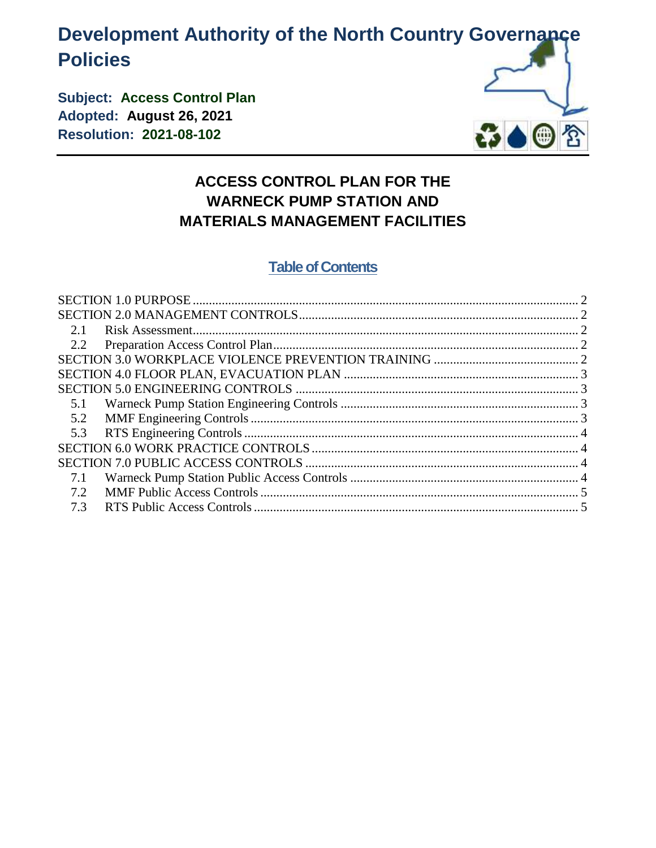# **Development Authority of the North Country Governance Policies**

**Subject: Access Control Plan Adopted: August 26, 2021 Resolution: 2021-08-102**



# **ACCESS CONTROL PLAN FOR THE WARNECK PUMP STATION AND MATERIALS MANAGEMENT FACILITIES**

# **Table of Contents**

| 5.1 |  |
|-----|--|
| 5.2 |  |
|     |  |
|     |  |
|     |  |
| 7.1 |  |
| 7.2 |  |
| 7.3 |  |
|     |  |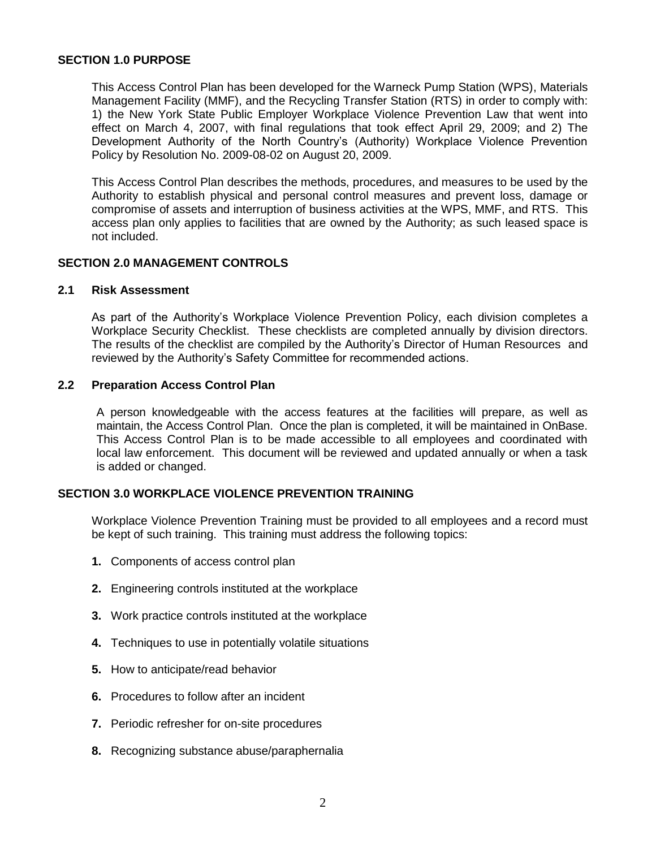#### <span id="page-1-0"></span>**SECTION 1.0 PURPOSE**

This Access Control Plan has been developed for the Warneck Pump Station (WPS), Materials Management Facility (MMF), and the Recycling Transfer Station (RTS) in order to comply with: 1) the New York State Public Employer Workplace Violence Prevention Law that went into effect on March 4, 2007, with final regulations that took effect April 29, 2009; and 2) The Development Authority of the North Country's (Authority) Workplace Violence Prevention Policy by Resolution No. 2009-08-02 on August 20, 2009.

This Access Control Plan describes the methods, procedures, and measures to be used by the Authority to establish physical and personal control measures and prevent loss, damage or compromise of assets and interruption of business activities at the WPS, MMF, and RTS. This access plan only applies to facilities that are owned by the Authority; as such leased space is not included.

## <span id="page-1-1"></span>**SECTION 2.0 MANAGEMENT CONTROLS**

# <span id="page-1-2"></span>**2.1 Risk Assessment**

As part of the Authority's Workplace Violence Prevention Policy, each division completes a Workplace Security Checklist. These checklists are completed annually by division directors. The results of the checklist are compiled by the Authority's Director of Human Resources and reviewed by the Authority's Safety Committee for recommended actions.

#### <span id="page-1-3"></span>**2.2 Preparation Access Control Plan**

A person knowledgeable with the access features at the facilities will prepare, as well as maintain, the Access Control Plan. Once the plan is completed, it will be maintained in OnBase. This Access Control Plan is to be made accessible to all employees and coordinated with local law enforcement. This document will be reviewed and updated annually or when a task is added or changed.

#### <span id="page-1-4"></span>**SECTION 3.0 WORKPLACE VIOLENCE PREVENTION TRAINING**

Workplace Violence Prevention Training must be provided to all employees and a record must be kept of such training. This training must address the following topics:

- **1.** Components of access control plan
- **2.** Engineering controls instituted at the workplace
- **3.** Work practice controls instituted at the workplace
- **4.** Techniques to use in potentially volatile situations
- **5.** How to anticipate/read behavior
- **6.** Procedures to follow after an incident
- **7.** Periodic refresher for on-site procedures
- **8.** Recognizing substance abuse/paraphernalia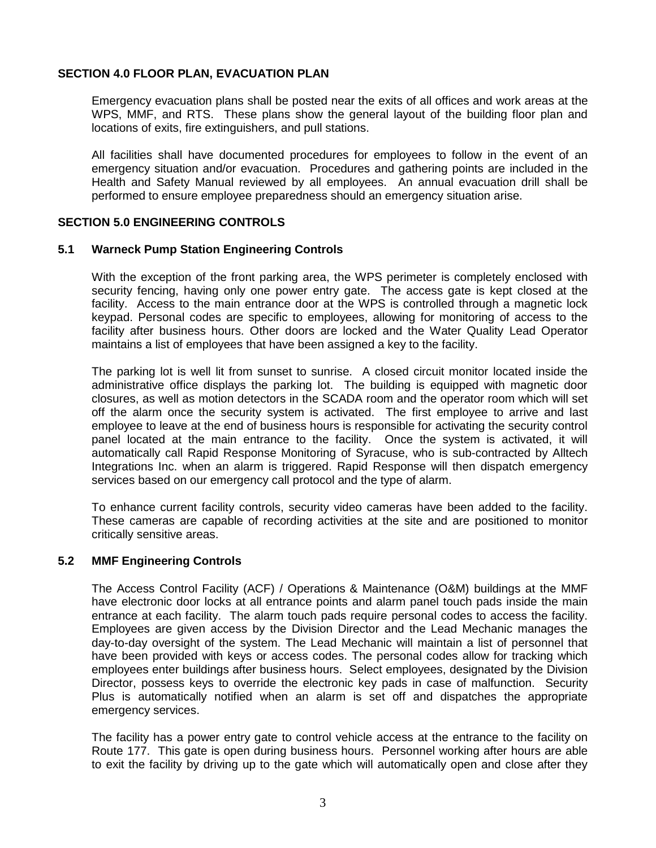## <span id="page-2-0"></span>**SECTION 4.0 FLOOR PLAN, EVACUATION PLAN**

Emergency evacuation plans shall be posted near the exits of all offices and work areas at the WPS, MMF, and RTS. These plans show the general layout of the building floor plan and locations of exits, fire extinguishers, and pull stations.

All facilities shall have documented procedures for employees to follow in the event of an emergency situation and/or evacuation. Procedures and gathering points are included in the Health and Safety Manual reviewed by all employees. An annual evacuation drill shall be performed to ensure employee preparedness should an emergency situation arise.

#### <span id="page-2-1"></span>**SECTION 5.0 ENGINEERING CONTROLS**

#### <span id="page-2-2"></span>**5.1 Warneck Pump Station Engineering Controls**

With the exception of the front parking area, the WPS perimeter is completely enclosed with security fencing, having only one power entry gate. The access gate is kept closed at the facility. Access to the main entrance door at the WPS is controlled through a magnetic lock keypad. Personal codes are specific to employees, allowing for monitoring of access to the facility after business hours. Other doors are locked and the Water Quality Lead Operator maintains a list of employees that have been assigned a key to the facility.

The parking lot is well lit from sunset to sunrise. A closed circuit monitor located inside the administrative office displays the parking lot. The building is equipped with magnetic door closures, as well as motion detectors in the SCADA room and the operator room which will set off the alarm once the security system is activated. The first employee to arrive and last employee to leave at the end of business hours is responsible for activating the security control panel located at the main entrance to the facility. Once the system is activated, it will automatically call Rapid Response Monitoring of Syracuse, who is sub-contracted by Alltech Integrations Inc. when an alarm is triggered. Rapid Response will then dispatch emergency services based on our emergency call protocol and the type of alarm.

To enhance current facility controls, security video cameras have been added to the facility. These cameras are capable of recording activities at the site and are positioned to monitor critically sensitive areas.

# <span id="page-2-3"></span>**5.2 MMF Engineering Controls**

The Access Control Facility (ACF) / Operations & Maintenance (O&M) buildings at the MMF have electronic door locks at all entrance points and alarm panel touch pads inside the main entrance at each facility. The alarm touch pads require personal codes to access the facility. Employees are given access by the Division Director and the Lead Mechanic manages the day-to-day oversight of the system. The Lead Mechanic will maintain a list of personnel that have been provided with keys or access codes. The personal codes allow for tracking which employees enter buildings after business hours. Select employees, designated by the Division Director, possess keys to override the electronic key pads in case of malfunction. Security Plus is automatically notified when an alarm is set off and dispatches the appropriate emergency services.

The facility has a power entry gate to control vehicle access at the entrance to the facility on Route 177. This gate is open during business hours. Personnel working after hours are able to exit the facility by driving up to the gate which will automatically open and close after they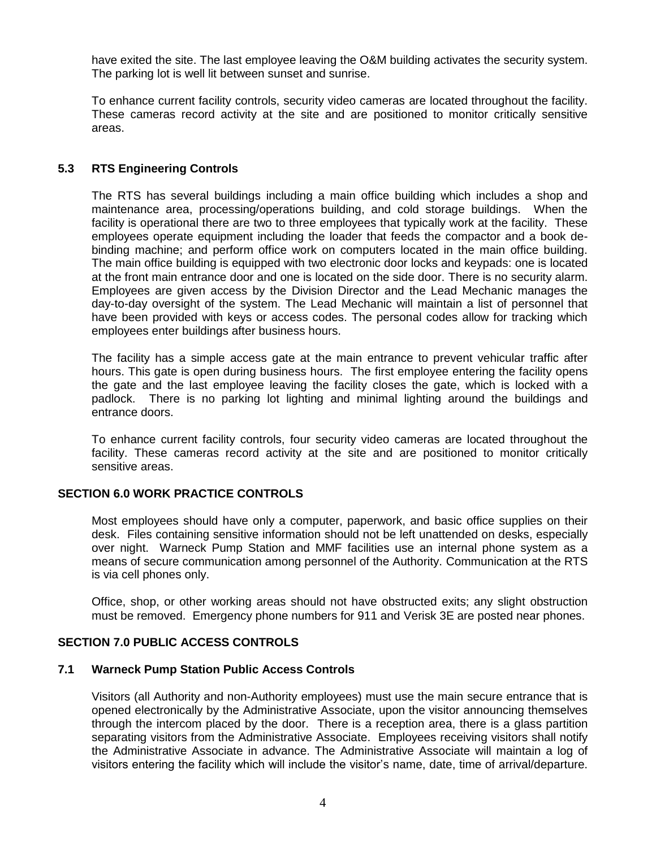have exited the site. The last employee leaving the O&M building activates the security system. The parking lot is well lit between sunset and sunrise.

To enhance current facility controls, security video cameras are located throughout the facility. These cameras record activity at the site and are positioned to monitor critically sensitive areas.

# <span id="page-3-0"></span>**5.3 RTS Engineering Controls**

The RTS has several buildings including a main office building which includes a shop and maintenance area, processing/operations building, and cold storage buildings. When the facility is operational there are two to three employees that typically work at the facility. These employees operate equipment including the loader that feeds the compactor and a book debinding machine; and perform office work on computers located in the main office building. The main office building is equipped with two electronic door locks and keypads: one is located at the front main entrance door and one is located on the side door. There is no security alarm. Employees are given access by the Division Director and the Lead Mechanic manages the day-to-day oversight of the system. The Lead Mechanic will maintain a list of personnel that have been provided with keys or access codes. The personal codes allow for tracking which employees enter buildings after business hours.

The facility has a simple access gate at the main entrance to prevent vehicular traffic after hours. This gate is open during business hours. The first employee entering the facility opens the gate and the last employee leaving the facility closes the gate, which is locked with a padlock. There is no parking lot lighting and minimal lighting around the buildings and entrance doors.

To enhance current facility controls, four security video cameras are located throughout the facility. These cameras record activity at the site and are positioned to monitor critically sensitive areas.

# <span id="page-3-1"></span>**SECTION 6.0 WORK PRACTICE CONTROLS**

Most employees should have only a computer, paperwork, and basic office supplies on their desk. Files containing sensitive information should not be left unattended on desks, especially over night. Warneck Pump Station and MMF facilities use an internal phone system as a means of secure communication among personnel of the Authority. Communication at the RTS is via cell phones only.

Office, shop, or other working areas should not have obstructed exits; any slight obstruction must be removed. Emergency phone numbers for 911 and Verisk 3E are posted near phones.

# <span id="page-3-2"></span>**SECTION 7.0 PUBLIC ACCESS CONTROLS**

#### <span id="page-3-3"></span>**7.1 Warneck Pump Station Public Access Controls**

Visitors (all Authority and non-Authority employees) must use the main secure entrance that is opened electronically by the Administrative Associate, upon the visitor announcing themselves through the intercom placed by the door. There is a reception area, there is a glass partition separating visitors from the Administrative Associate. Employees receiving visitors shall notify the Administrative Associate in advance. The Administrative Associate will maintain a log of visitors entering the facility which will include the visitor's name, date, time of arrival/departure.